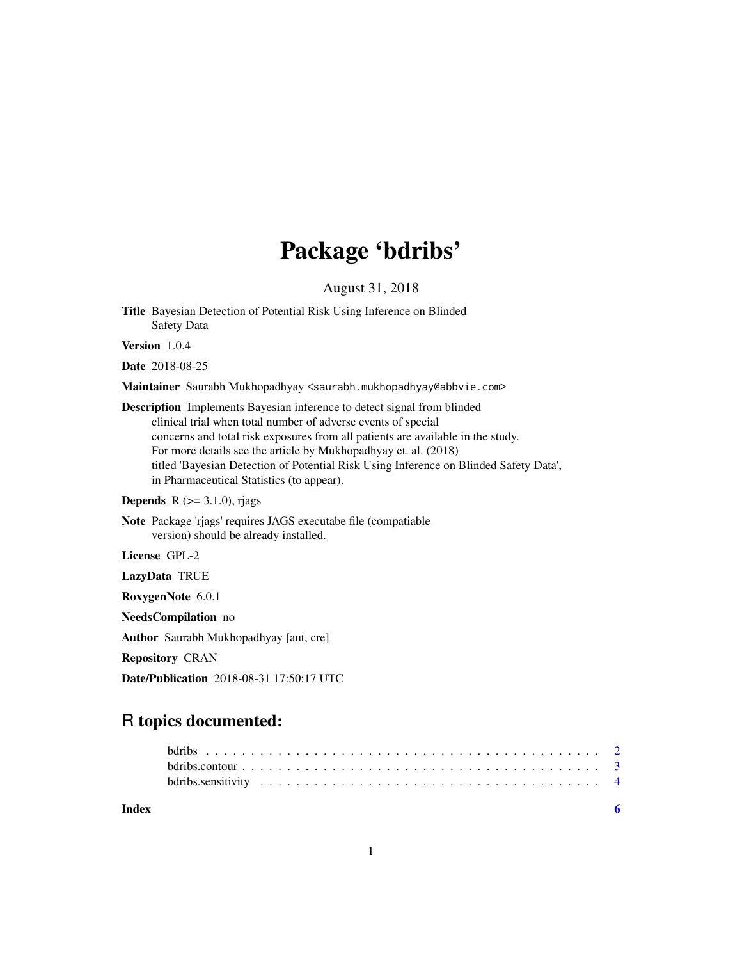# Package 'bdribs'

August 31, 2018

Title Bayesian Detection of Potential Risk Using Inference on Blinded Safety Data

Version 1.0.4

Date 2018-08-25

Maintainer Saurabh Mukhopadhyay <saurabh.mukhopadhyay@abbvie.com>

Description Implements Bayesian inference to detect signal from blinded clinical trial when total number of adverse events of special concerns and total risk exposures from all patients are available in the study. For more details see the article by Mukhopadhyay et. al. (2018) titled 'Bayesian Detection of Potential Risk Using Inference on Blinded Safety Data', in Pharmaceutical Statistics (to appear).

#### **Depends** R  $(>= 3.1.0)$ , rjags

Note Package 'rjags' requires JAGS executabe file (compatiable version) should be already installed.

License GPL-2

LazyData TRUE

RoxygenNote 6.0.1

NeedsCompilation no

Author Saurabh Mukhopadhyay [aut, cre]

Repository CRAN

Date/Publication 2018-08-31 17:50:17 UTC

# R topics documented:

| Index |  |
|-------|--|
|       |  |
|       |  |
|       |  |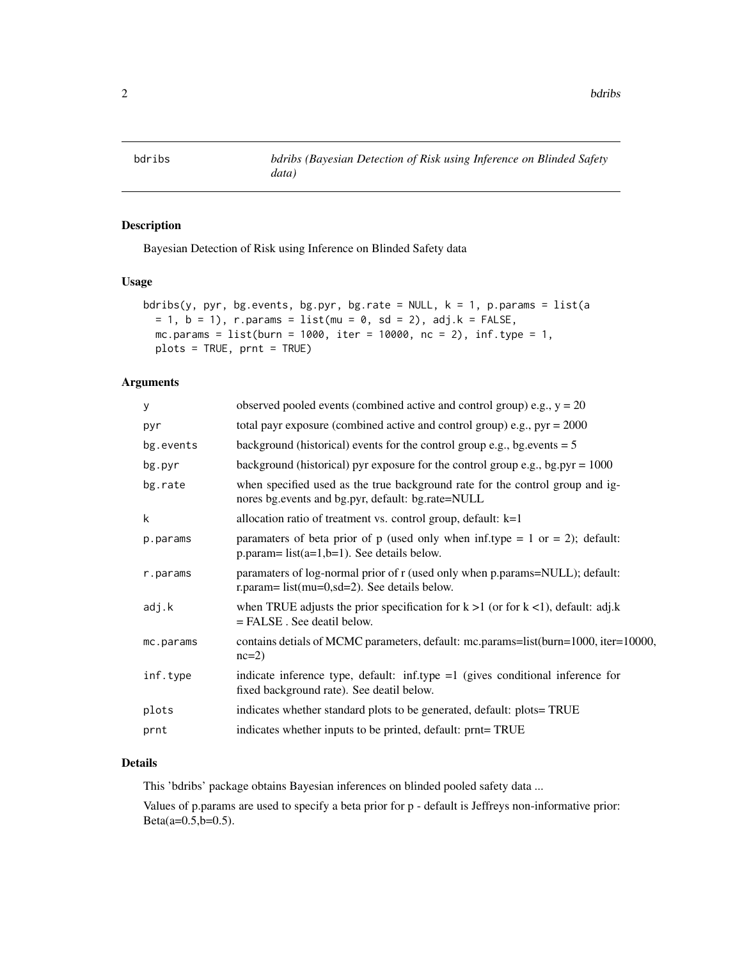<span id="page-1-0"></span>

# Description

Bayesian Detection of Risk using Inference on Blinded Safety data

#### Usage

```
bdribs(y, pyr, bg.events, bg.pyr, bg.rate = NULL, k = 1, p.params = list(a
= 1, b = 1), r.params = list(mu = 0, sd = 2), adj.k = FALSE,
mc.params = list(burn = 1000, iter = 10000, nc = 2), inf_type = 1,plots = TRUE, prnt = TRUE)
```
# Arguments

| У         | observed pooled events (combined active and control group) e.g., $y = 20$                                                          |
|-----------|------------------------------------------------------------------------------------------------------------------------------------|
| pyr       | total payr exposure (combined active and control group) e.g., $pyr = 2000$                                                         |
| bg.events | background (historical) events for the control group e.g., bg. events $= 5$                                                        |
| bg.pyr    | background (historical) pyr exposure for the control group e.g., bg.pyr = $1000$                                                   |
| bg.rate   | when specified used as the true background rate for the control group and ig-<br>nores bg.events and bg.pyr, default: bg.rate=NULL |
| k         | allocation ratio of treatment vs. control group, default: $k=1$                                                                    |
| p.params  | paramaters of beta prior of p (used only when inf.type = 1 or = 2); default:<br>$p.parent = list(a=1,b=1)$ . See details below.    |
| r.params  | paramaters of log-normal prior of r (used only when p.params=NULL); default:<br>r.param= $list(mu=0, sd=2)$ . See details below.   |
| adj.k     | when TRUE adjusts the prior specification for $k > 1$ (or for $k < 1$ ), default: adj.k<br>$=$ FALSE. See deatil below.            |
| mc.params | contains detials of MCMC parameters, default: mc.params=list(burn=1000, iter=10000,<br>$nc=2$                                      |
| inf.type  | indicate inference type, default: inf.type $=1$ (gives conditional inference for<br>fixed background rate). See deatil below.      |
| plots     | indicates whether standard plots to be generated, default: plots=TRUE                                                              |
| prnt      | indicates whether inputs to be printed, default: prnt=TRUE                                                                         |
|           |                                                                                                                                    |

#### Details

This 'bdribs' package obtains Bayesian inferences on blinded pooled safety data ...

Values of p.params are used to specify a beta prior for p - default is Jeffreys non-informative prior:  $Beta(a=0.5, b=0.5)$ .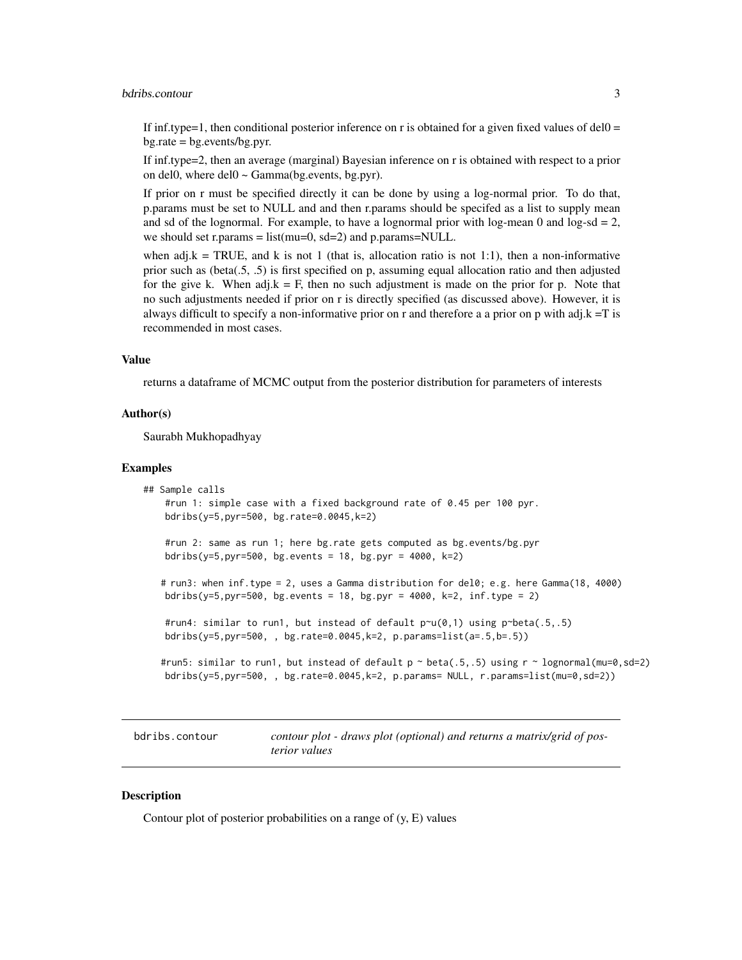#### <span id="page-2-0"></span>bdribs.contour 3

If inf.type=1, then conditional posterior inference on r is obtained for a given fixed values of del $0 =$  $bg rate = bg.everyents/bg.pyr.$ 

If inf.type=2, then an average (marginal) Bayesian inference on r is obtained with respect to a prior on del0, where del $0 \sim \text{Gamma}(\text{bg}.\text{events}, \text{bg}.\text{pyr}).$ 

If prior on r must be specified directly it can be done by using a log-normal prior. To do that, p.params must be set to NULL and and then r.params should be specifed as a list to supply mean and sd of the lognormal. For example, to have a lognormal prior with log-mean 0 and log-sd  $= 2$ , we should set r.params =  $list(mu=0, sd=2)$  and p.params=NULL.

when adj.k = TRUE, and k is not 1 (that is, allocation ratio is not 1:1), then a non-informative prior such as (beta(.5, .5) is first specified on p, assuming equal allocation ratio and then adjusted for the give k. When adj.k = F, then no such adjustment is made on the prior for p. Note that no such adjustments needed if prior on r is directly specified (as discussed above). However, it is always difficult to specify a non-informative prior on r and therefore a a prior on p with adj. $k = T$  is recommended in most cases.

#### Value

returns a dataframe of MCMC output from the posterior distribution for parameters of interests

#### Author(s)

Saurabh Mukhopadhyay

#### Examples

```
## Sample calls
   #run 1: simple case with a fixed background rate of 0.45 per 100 pyr.
  bdribs(y=5,pyr=500, bg.rate=0.0045,k=2)
   #run 2: same as run 1; here bg.rate gets computed as bg.events/bg.pyr
  bdribs(y=5,pyr=500, bg.events = 18, bg.pyr = 4000, k=2)
  # run3: when inf.type = 2, uses a Gamma distribution for del0; e.g. here Gamma(18, 4000)
  bdribs(y=5,pyr=500, bg.events = 18, bg.pyr = 4000, k=2, inf.type = 2)
   #run4: similar to run1, but instead of default p\nu(0,1) using p\nu beta(.5,.5)bdribs(y=5,pyr=500, , bg.rate=0.0045,k=2, p.params=list(a=.5,b=.5))
  #run5: similar to run1, but instead of default p \sim \text{beta}(.5,.5) using r \sim \text{lognormal}(\text{mu}=0,\text{sd}=2)bdribs(y=5,pyr=500, , bg.rate=0.0045,k=2, p.params= NULL, r.params=list(mu=0,sd=2))
```
bdribs.contour *contour plot - draws plot (optional) and returns a matrix/grid of posterior values*

#### Description

Contour plot of posterior probabilities on a range of (y, E) values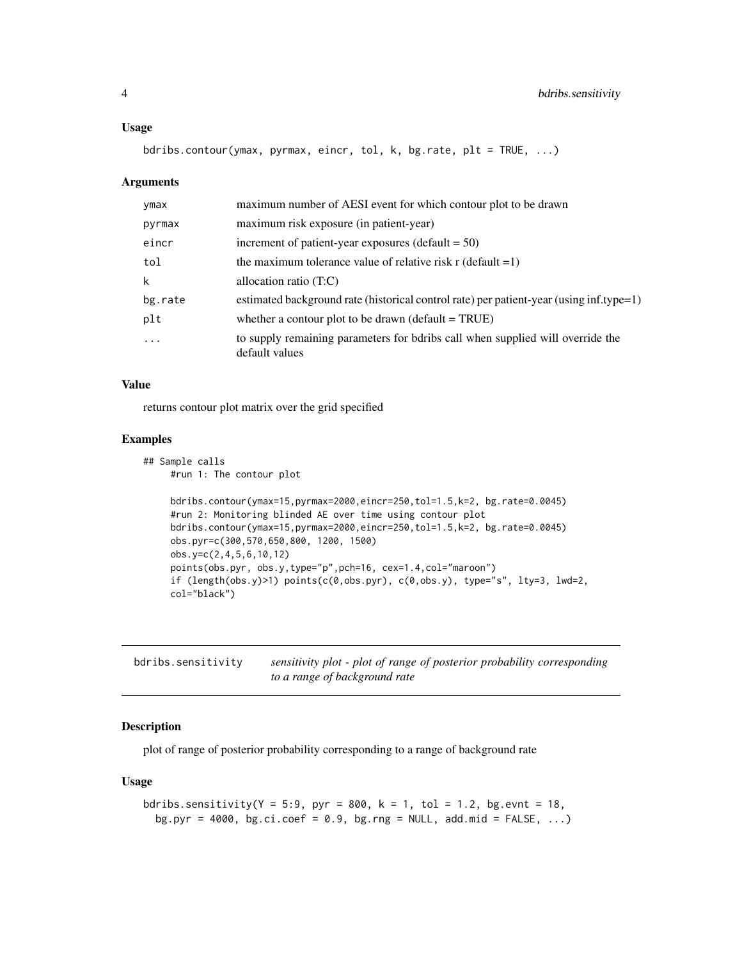#### <span id="page-3-0"></span>Usage

bdribs.contour(ymax, pyrmax, eincr, tol, k, bg.rate, plt = TRUE, ...)

#### Arguments

| ymax    | maximum number of AESI event for which contour plot to be drawn                                  |
|---------|--------------------------------------------------------------------------------------------------|
| pyrmax  | maximum risk exposure (in patient-year)                                                          |
| eincr   | increment of patient-year exposures (default $= 50$ )                                            |
| tol     | the maximum tolerance value of relative risk $r$ (default =1)                                    |
| k       | allocation ratio $(T:C)$                                                                         |
| bg.rate | estimated background rate (historical control rate) per patient-year (using inf.type=1)          |
| plt     | whether a contour plot to be drawn (default $=$ TRUE)                                            |
| $\cdot$ | to supply remaining parameters for bdribs call when supplied will override the<br>default values |

#### Value

returns contour plot matrix over the grid specified

#### Examples

```
## Sample calls
   #run 1: The contour plot
   bdribs.contour(ymax=15,pyrmax=2000,eincr=250,tol=1.5,k=2, bg.rate=0.0045)
    #run 2: Monitoring blinded AE over time using contour plot
   bdribs.contour(ymax=15,pyrmax=2000,eincr=250,tol=1.5,k=2, bg.rate=0.0045)
   obs.pyr=c(300,570,650,800, 1200, 1500)
   obs.y=c(2,4,5,6,10,12)
   points(obs.pyr, obs.y,type="p",pch=16, cex=1.4,col="maroon")
    if (length(obs.y)>1) points(c(0,obs.pyr), c(0,obs.y), type="s", lty=3, lwd=2,
    col="black")
```
bdribs.sensitivity *sensitivity plot - plot of range of posterior probability corresponding to a range of background rate*

# Description

plot of range of posterior probability corresponding to a range of background rate

#### Usage

```
bdribs.sensitivity(Y = 5:9, pyr = 800, k = 1, tol = 1.2, bg.evnt = 18,
 bg.pyr = 4000, bg.ci.coef = 0.9, bg.rng = NULL, add.mid = FALSE, \ldots)
```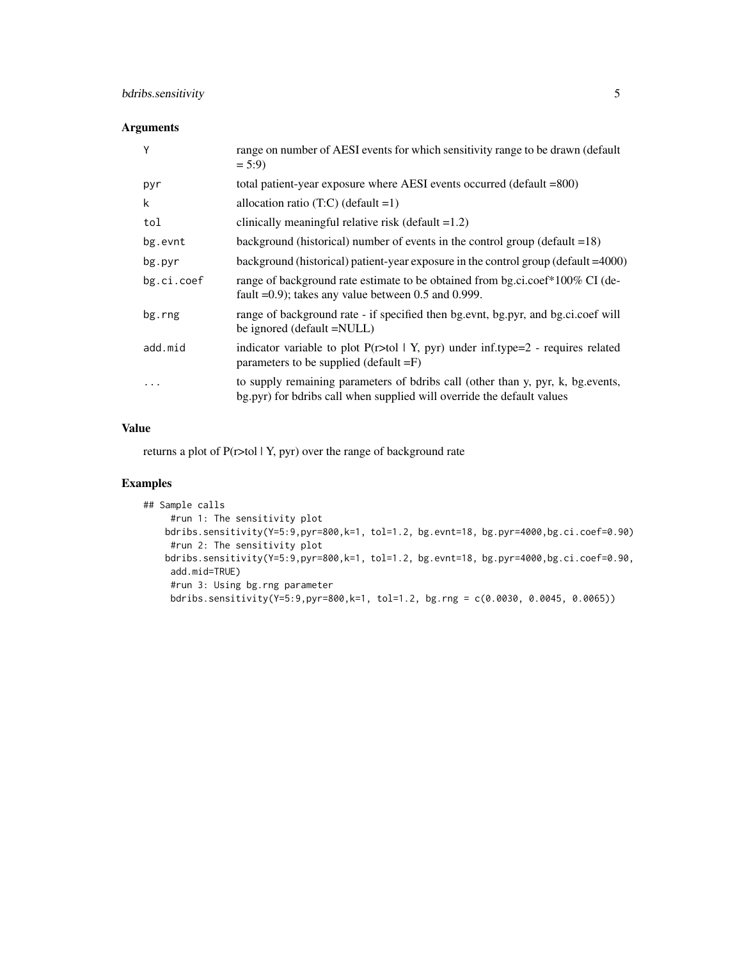# bdribs.sensitivity 5

# Arguments

| Υ          | range on number of AESI events for which sensitivity range to be drawn (default<br>$= 5:9$                                                                |
|------------|-----------------------------------------------------------------------------------------------------------------------------------------------------------|
| pyr        | total patient-year exposure where AESI events occurred (default =800)                                                                                     |
| k          | allocation ratio $(T:C)$ (default =1)                                                                                                                     |
| tol        | clinically meaningful relative risk (default $=1.2$ )                                                                                                     |
| bg.evnt    | background (historical) number of events in the control group (default $=18$ )                                                                            |
| bg.pyr     | background (historical) patient-year exposure in the control group (default = 4000)                                                                       |
| bg.ci.coef | range of background rate estimate to be obtained from bg.ci.coef*100% CI (de-<br>fault $=0.9$ ); takes any value between 0.5 and 0.999.                   |
| bg.rng     | range of background rate - if specified then bg.evnt, bg.pyr, and bg.ci.coef will<br>be ignored (default =NULL)                                           |
| add.mid    | indicator variable to plot $P(r>$ tol   Y, pyr) under inf.type=2 - requires related<br>parameters to be supplied (default $=$ F)                          |
| .          | to supply remaining parameters of bdribs call (other than y, pyr, k, bg.events,<br>bg.pyr) for bdribs call when supplied will override the default values |

#### Value

returns a plot of P(r>tol | Y, pyr) over the range of background rate

# Examples

```
## Sample calls
   #run 1: The sensitivity plot
  bdribs.sensitivity(Y=5:9,pyr=800,k=1, tol=1.2, bg.evnt=18, bg.pyr=4000,bg.ci.coef=0.90)
   #run 2: The sensitivity plot
  bdribs.sensitivity(Y=5:9,pyr=800,k=1, tol=1.2, bg.evnt=18, bg.pyr=4000,bg.ci.coef=0.90,
   add.mid=TRUE)
   #run 3: Using bg.rng parameter
   bdribs.sensitivity(Y=5:9,pyr=800,k=1, tol=1.2, bg.rng = c(0.0030, 0.0045, 0.0065))
```